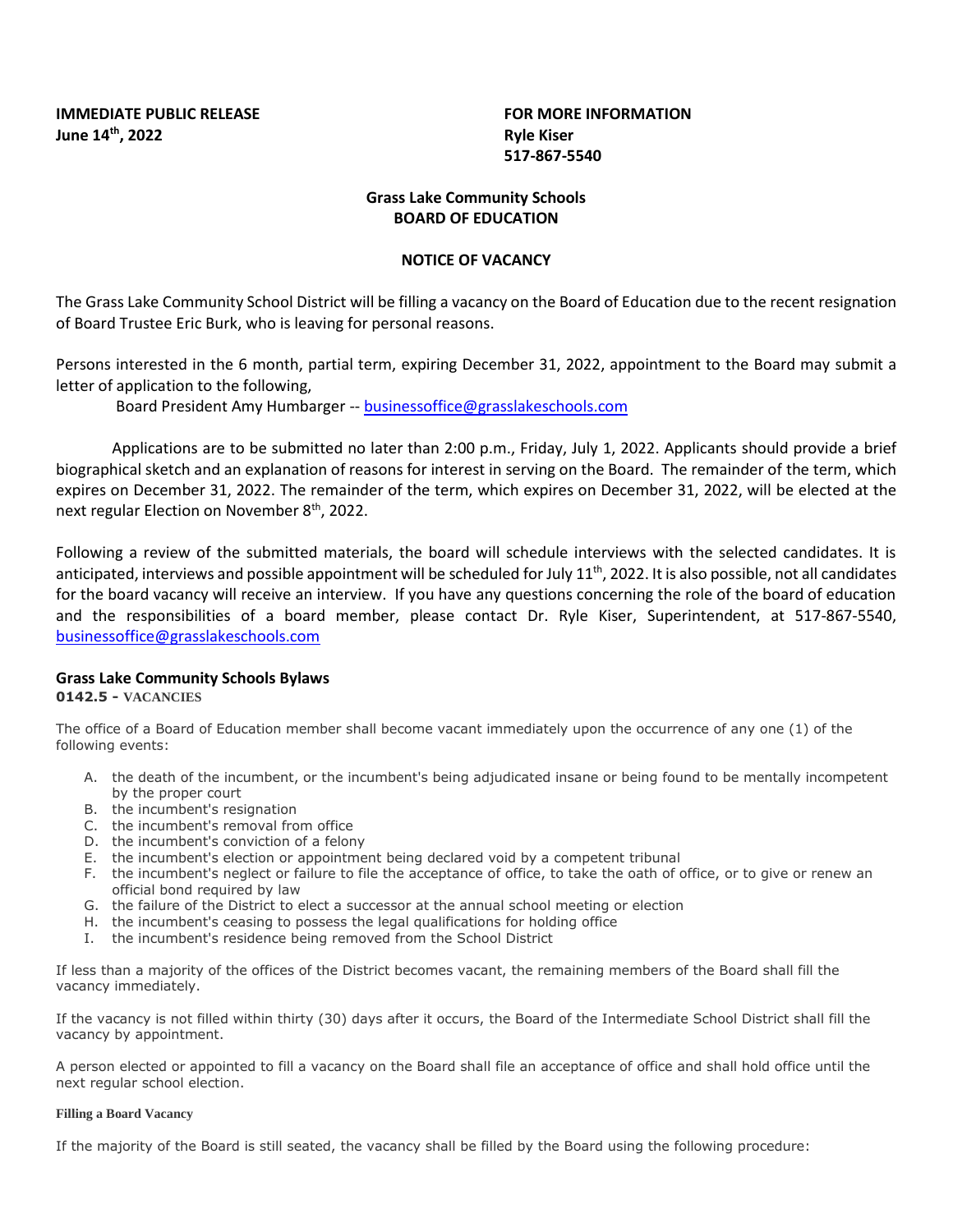**IMMEDIATE PUBLIC RELEASE FOR MORE INFORMATION June 14<sup>th</sup>, 2022 Ryle Kiser** 

**517-867-5540**

# **Grass Lake Community Schools BOARD OF EDUCATION**

## **NOTICE OF VACANCY**

The Grass Lake Community School District will be filling a vacancy on the Board of Education due to the recent resignation of Board Trustee Eric Burk, who is leaving for personal reasons.

Persons interested in the 6 month, partial term, expiring December 31, 2022, appointment to the Board may submit a letter of application to the following,

Board President Amy Humbarger -- [businessoffice@grasslakeschools.com](mailto:businessoffice@grasslakeschools.com)

Applications are to be submitted no later than 2:00 p.m., Friday, July 1, 2022. Applicants should provide a brief biographical sketch and an explanation of reasons for interest in serving on the Board. The remainder of the term, which expires on December 31, 2022. The remainder of the term, which expires on December 31, 2022, will be elected at the next regular Election on November 8<sup>th</sup>, 2022.

Following a review of the submitted materials, the board will schedule interviews with the selected candidates. It is anticipated, interviews and possible appointment will be scheduled for July 11<sup>th</sup>, 2022. It is also possible, not all candidates for the board vacancy will receive an interview. If you have any questions concerning the role of the board of education and the responsibilities of a board member, please contact Dr. Ryle Kiser, Superintendent, at 517-867-5540, [businessoffice@grasslakeschools.com](mailto:businessoffice@grasslakeschools.com)

## **Grass Lake Community Schools Bylaws**

## **0142.5 - VACANCIES**

The office of a Board of Education member shall become vacant immediately upon the occurrence of any one (1) of the following events:

- A. the death of the incumbent, or the incumbent's being adjudicated insane or being found to be mentally incompetent by the proper court
- B. the incumbent's resignation
- C. the incumbent's removal from office
- D. the incumbent's conviction of a felony
- E. the incumbent's election or appointment being declared void by a competent tribunal
- F. the incumbent's neglect or failure to file the acceptance of office, to take the oath of office, or to give or renew an official bond required by law
- G. the failure of the District to elect a successor at the annual school meeting or election
- H. the incumbent's ceasing to possess the legal qualifications for holding office
- I. the incumbent's residence being removed from the School District

If less than a majority of the offices of the District becomes vacant, the remaining members of the Board shall fill the vacancy immediately.

If the vacancy is not filled within thirty (30) days after it occurs, the Board of the Intermediate School District shall fill the vacancy by appointment.

A person elected or appointed to fill a vacancy on the Board shall file an acceptance of office and shall hold office until the next regular school election.

#### **Filling a Board Vacancy**

If the majority of the Board is still seated, the vacancy shall be filled by the Board using the following procedure: